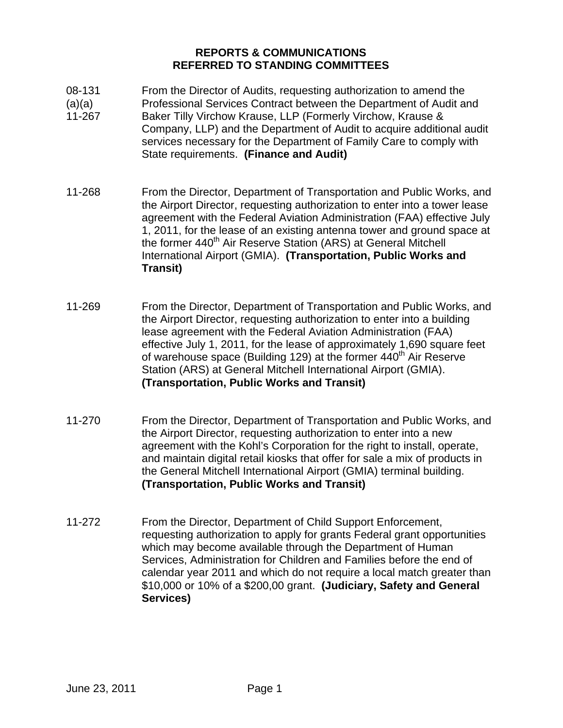## **REPORTS & COMMUNICATIONS REFERRED TO STANDING COMMITTEES**

- 08-131 From the Director of Audits, requesting authorization to amend the
- $(a)(a)$ 11-267 Professional Services Contract between the Department of Audit and Baker Tilly Virchow Krause, LLP (Formerly Virchow, Krause & Company, LLP) and the Department of Audit to acquire additional audit services necessary for the Department of Family Care to comply with

State requirements. **(Finance and Audit)**

- 11-268 From the Director, Department of Transportation and Public Works, and the Airport Director, requesting authorization to enter into a tower lease agreement with the Federal Aviation Administration (FAA) effective July 1, 2011, for the lease of an existing antenna tower and ground space at the former 440<sup>th</sup> Air Reserve Station (ARS) at General Mitchell International Airport (GMIA). **(Transportation, Public Works and Transit)**
- 11-269 From the Director, Department of Transportation and Public Works, and the Airport Director, requesting authorization to enter into a building lease agreement with the Federal Aviation Administration (FAA) effective July 1, 2011, for the lease of approximately 1,690 square feet of warehouse space (Building 129) at the former  $440<sup>th</sup>$  Air Reserve Station (ARS) at General Mitchell International Airport (GMIA). **(Transportation, Public Works and Transit)**
- 11-270 From the Director, Department of Transportation and Public Works, and the Airport Director, requesting authorization to enter into a new agreement with the Kohl's Corporation for the right to install, operate, and maintain digital retail kiosks that offer for sale a mix of products in the General Mitchell International Airport (GMIA) terminal building. **(Transportation, Public Works and Transit)**
- 11-272 From the Director, Department of Child Support Enforcement, requesting authorization to apply for grants Federal grant opportunities which may become available through the Department of Human Services, Administration for Children and Families before the end of calendar year 2011 and which do not require a local match greater than \$10,000 or 10% of a \$200,00 grant. **(Judiciary, Safety and General Services)**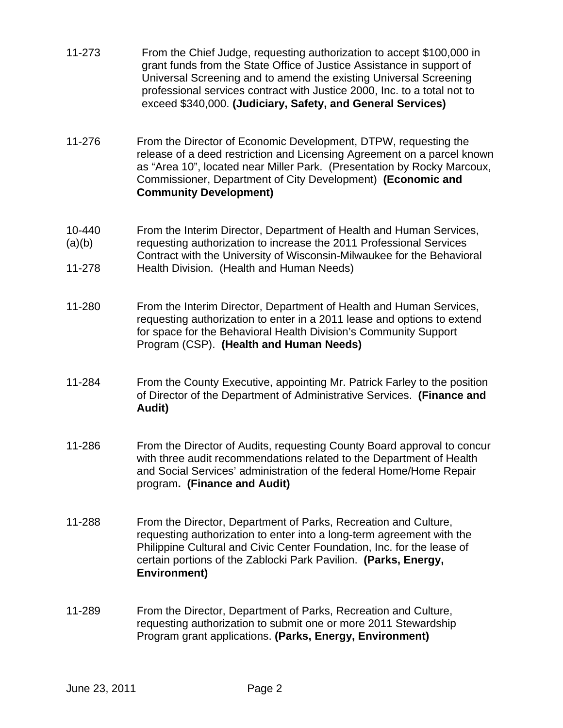- 11-273 From the Chief Judge, requesting authorization to accept \$100,000 in grant funds from the State Office of Justice Assistance in support of Universal Screening and to amend the existing Universal Screening professional services contract with Justice 2000, Inc. to a total not to exceed \$340,000. **(Judiciary, Safety, and General Services)**
- 11-276 From the Director of Economic Development, DTPW, requesting the release of a deed restriction and Licensing Agreement on a parcel known as "Area 10", located near Miller Park. (Presentation by Rocky Marcoux, Commissioner, Department of City Development) **(Economic and Community Development)**
- 10-440  $(a)(b)$ From the Interim Director, Department of Health and Human Services, requesting authorization to increase the 2011 Professional Services Contract with the University of Wisconsin-Milwaukee for the Behavioral
- 11-278 Health Division. (Health and Human Needs)
- 11-280 From the Interim Director, Department of Health and Human Services, requesting authorization to enter in a 2011 lease and options to extend for space for the Behavioral Health Division's Community Support Program (CSP). **(Health and Human Needs)**
- 11-284 From the County Executive, appointing Mr. Patrick Farley to the position of Director of the Department of Administrative Services. **(Finance and Audit)**
- 11-286 From the Director of Audits, requesting County Board approval to concur with three audit recommendations related to the Department of Health and Social Services' administration of the federal Home/Home Repair program**. (Finance and Audit)**
- 11-288 From the Director, Department of Parks, Recreation and Culture, requesting authorization to enter into a long-term agreement with the Philippine Cultural and Civic Center Foundation, Inc. for the lease of certain portions of the Zablocki Park Pavilion. **(Parks, Energy, Environment)**
- 11-289 From the Director, Department of Parks, Recreation and Culture, requesting authorization to submit one or more 2011 Stewardship Program grant applications. **(Parks, Energy, Environment)**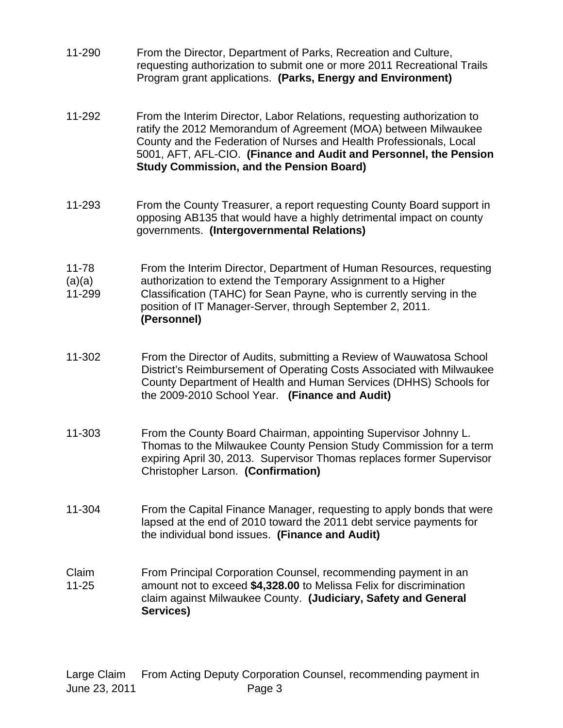- 11-290 From the Director, Department of Parks, Recreation and Culture, requesting authorization to submit one or more 2011 Recreational Trails Program grant applications. **(Parks, Energy and Environment)**
- 11-292 From the Interim Director, Labor Relations, requesting authorization to ratify the 2012 Memorandum of Agreement (MOA) between Milwaukee County and the Federation of Nurses and Health Professionals, Local 5001, AFT, AFL-CIO. **(Finance and Audit and Personnel, the Pension Study Commission, and the Pension Board)**
- 11-293 From the County Treasurer, a report requesting County Board support in opposing AB135 that would have a highly detrimental impact on county governments. **(Intergovernmental Relations)**
- 11-78 From the Interim Director, Department of Human Resources, requesting
- $(a)(a)$ authorization to extend the Temporary Assignment to a Higher
- 11-299 Classification (TAHC) for Sean Payne, who is currently serving in the position of IT Manager-Server, through September 2, 2011. **(Personnel)**
- 11-302 From the Director of Audits, submitting a Review of Wauwatosa School District's Reimbursement of Operating Costs Associated with Milwaukee County Department of Health and Human Services (DHHS) Schools for the 2009-2010 School Year. **(Finance and Audit)**
- 11-303 From the County Board Chairman, appointing Supervisor Johnny L. Thomas to the Milwaukee County Pension Study Commission for a term expiring April 30, 2013. Supervisor Thomas replaces former Supervisor Christopher Larson. **(Confirmation)**
- 11-304 From the Capital Finance Manager, requesting to apply bonds that were lapsed at the end of 2010 toward the 2011 debt service payments for the individual bond issues. **(Finance and Audit)**
- Claim 11-25 From Principal Corporation Counsel, recommending payment in an amount not to exceed **\$4,328.00** to Melissa Felix for discrimination claim against Milwaukee County. **(Judiciary, Safety and General Services)**